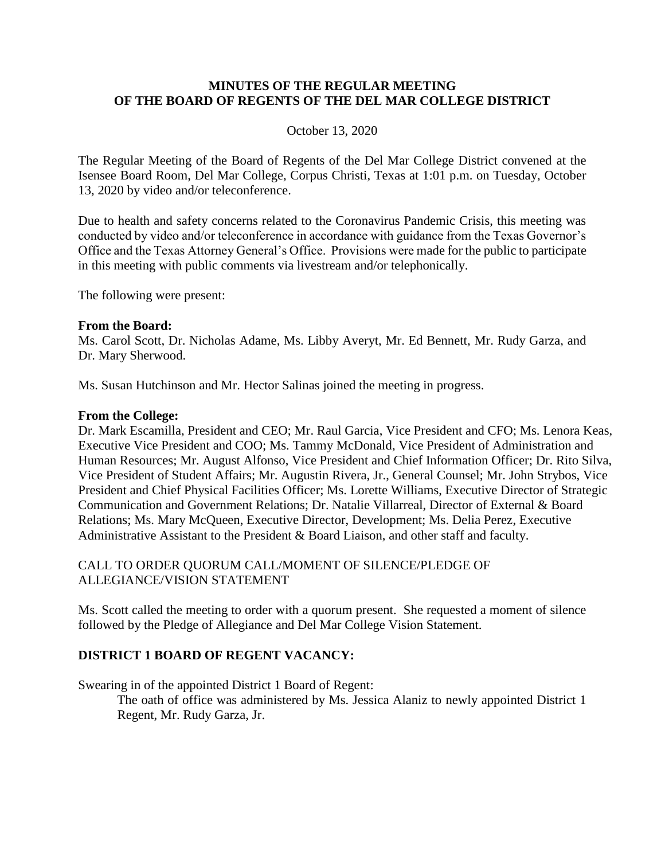#### **MINUTES OF THE REGULAR MEETING OF THE BOARD OF REGENTS OF THE DEL MAR COLLEGE DISTRICT**

#### October 13, 2020

The Regular Meeting of the Board of Regents of the Del Mar College District convened at the Isensee Board Room, Del Mar College, Corpus Christi, Texas at 1:01 p.m. on Tuesday, October 13, 2020 by video and/or teleconference.

Due to health and safety concerns related to the Coronavirus Pandemic Crisis, this meeting was conducted by video and/or teleconference in accordance with guidance from the Texas Governor's Office and the Texas Attorney General's Office. Provisions were made for the public to participate in this meeting with public comments via livestream and/or telephonically.

The following were present:

#### **From the Board:**

Ms. Carol Scott, Dr. Nicholas Adame, Ms. Libby Averyt, Mr. Ed Bennett, Mr. Rudy Garza, and Dr. Mary Sherwood.

Ms. Susan Hutchinson and Mr. Hector Salinas joined the meeting in progress.

#### **From the College:**

Dr. Mark Escamilla, President and CEO; Mr. Raul Garcia, Vice President and CFO; Ms. Lenora Keas, Executive Vice President and COO; Ms. Tammy McDonald, Vice President of Administration and Human Resources; Mr. August Alfonso, Vice President and Chief Information Officer; Dr. Rito Silva, Vice President of Student Affairs; Mr. Augustin Rivera, Jr., General Counsel; Mr. John Strybos, Vice President and Chief Physical Facilities Officer; Ms. Lorette Williams, Executive Director of Strategic Communication and Government Relations; Dr. Natalie Villarreal, Director of External & Board Relations; Ms. Mary McQueen, Executive Director, Development; Ms. Delia Perez, Executive Administrative Assistant to the President & Board Liaison, and other staff and faculty.

## CALL TO ORDER QUORUM CALL/MOMENT OF SILENCE/PLEDGE OF ALLEGIANCE/VISION STATEMENT

Ms. Scott called the meeting to order with a quorum present. She requested a moment of silence followed by the Pledge of Allegiance and Del Mar College Vision Statement.

#### **DISTRICT 1 BOARD OF REGENT VACANCY:**

Swearing in of the appointed District 1 Board of Regent:

The oath of office was administered by Ms. Jessica Alaniz to newly appointed District 1 Regent, Mr. Rudy Garza, Jr.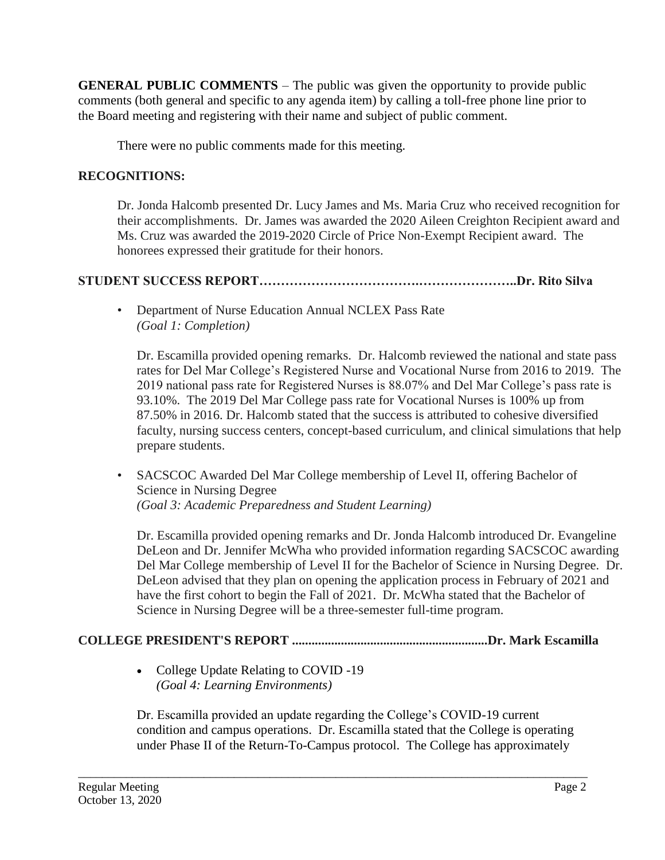**GENERAL PUBLIC COMMENTS** – The public was given the opportunity to provide public comments (both general and specific to any agenda item) by calling a toll-free phone line prior to the Board meeting and registering with their name and subject of public comment.

There were no public comments made for this meeting.

## **RECOGNITIONS:**

Dr. Jonda Halcomb presented Dr. Lucy James and Ms. Maria Cruz who received recognition for their accomplishments. Dr. James was awarded the 2020 Aileen Creighton Recipient award and Ms. Cruz was awarded the 2019-2020 Circle of Price Non-Exempt Recipient award. The honorees expressed their gratitude for their honors.

# **STUDENT SUCCESS REPORT……………………………….…………………..Dr. Rito Silva**

• Department of Nurse Education Annual NCLEX Pass Rate *(Goal 1: Completion)*

Dr. Escamilla provided opening remarks. Dr. Halcomb reviewed the national and state pass rates for Del Mar College's Registered Nurse and Vocational Nurse from 2016 to 2019. The 2019 national pass rate for Registered Nurses is 88.07% and Del Mar College's pass rate is 93.10%. The 2019 Del Mar College pass rate for Vocational Nurses is 100% up from 87.50% in 2016. Dr. Halcomb stated that the success is attributed to cohesive diversified faculty, nursing success centers, concept-based curriculum, and clinical simulations that help prepare students.

• SACSCOC Awarded Del Mar College membership of Level II, offering Bachelor of Science in Nursing Degree *(Goal 3: Academic Preparedness and Student Learning)*

Dr. Escamilla provided opening remarks and Dr. Jonda Halcomb introduced Dr. Evangeline DeLeon and Dr. Jennifer McWha who provided information regarding SACSCOC awarding Del Mar College membership of Level II for the Bachelor of Science in Nursing Degree. Dr. DeLeon advised that they plan on opening the application process in February of 2021 and have the first cohort to begin the Fall of 2021. Dr. McWha stated that the Bachelor of Science in Nursing Degree will be a three-semester full-time program.

# **COLLEGE PRESIDENT'S REPORT ............................................................Dr. Mark Escamilla**

• College Update Relating to COVID -19 *(Goal 4: Learning Environments)* 

Dr. Escamilla provided an update regarding the College's COVID-19 current condition and campus operations. Dr. Escamilla stated that the College is operating under Phase II of the Return-To-Campus protocol. The College has approximately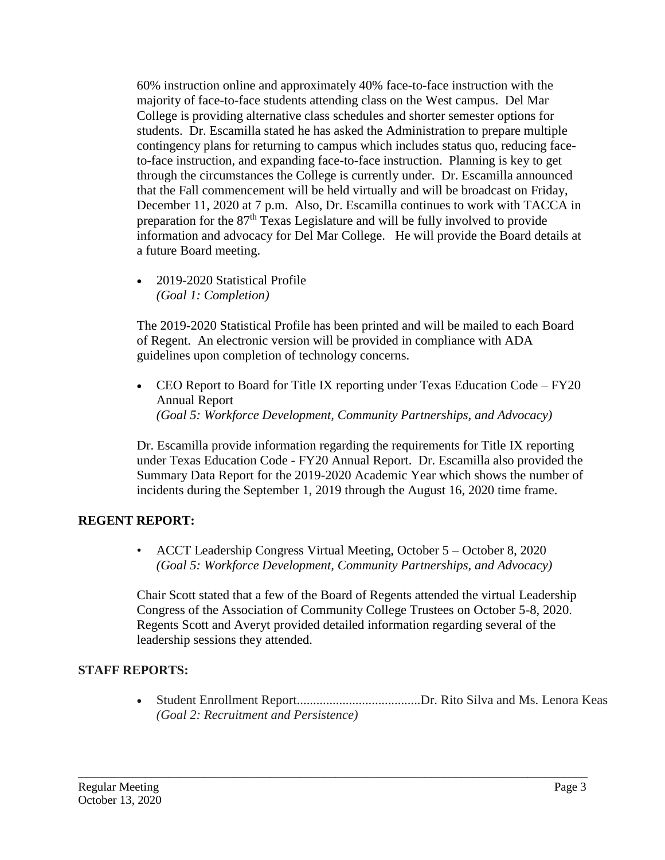60% instruction online and approximately 40% face-to-face instruction with the majority of face-to-face students attending class on the West campus. Del Mar College is providing alternative class schedules and shorter semester options for students. Dr. Escamilla stated he has asked the Administration to prepare multiple contingency plans for returning to campus which includes status quo, reducing faceto-face instruction, and expanding face-to-face instruction. Planning is key to get through the circumstances the College is currently under. Dr. Escamilla announced that the Fall commencement will be held virtually and will be broadcast on Friday, December 11, 2020 at 7 p.m. Also, Dr. Escamilla continues to work with TACCA in preparation for the 87<sup>th</sup> Texas Legislature and will be fully involved to provide information and advocacy for Del Mar College. He will provide the Board details at a future Board meeting.

• 2019-2020 Statistical Profile *(Goal 1: Completion)* 

The 2019-2020 Statistical Profile has been printed and will be mailed to each Board of Regent. An electronic version will be provided in compliance with ADA guidelines upon completion of technology concerns.

• CEO Report to Board for Title IX reporting under Texas Education Code – FY20 Annual Report *(Goal 5: Workforce Development, Community Partnerships, and Advocacy)* 

Dr. Escamilla provide information regarding the requirements for Title IX reporting under Texas Education Code - FY20 Annual Report. Dr. Escamilla also provided the Summary Data Report for the 2019-2020 Academic Year which shows the number of incidents during the September 1, 2019 through the August 16, 2020 time frame.

## **REGENT REPORT:**

• ACCT Leadership Congress Virtual Meeting, October 5 – October 8, 2020 *(Goal 5: Workforce Development, Community Partnerships, and Advocacy)* 

Chair Scott stated that a few of the Board of Regents attended the virtual Leadership Congress of the Association of Community College Trustees on October 5-8, 2020. Regents Scott and Averyt provided detailed information regarding several of the leadership sessions they attended.

## **STAFF REPORTS:**

 Student Enrollment Report......................................Dr. Rito Silva and Ms. Lenora Keas *(Goal 2: Recruitment and Persistence)*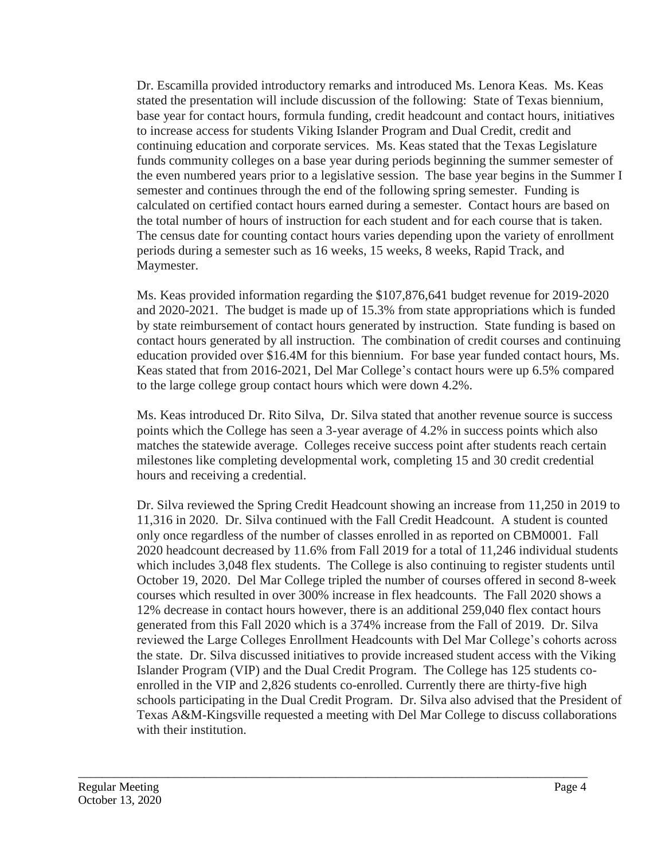Dr. Escamilla provided introductory remarks and introduced Ms. Lenora Keas. Ms. Keas stated the presentation will include discussion of the following: State of Texas biennium, base year for contact hours, formula funding, credit headcount and contact hours, initiatives to increase access for students Viking Islander Program and Dual Credit, credit and continuing education and corporate services. Ms. Keas stated that the Texas Legislature funds community colleges on a base year during periods beginning the summer semester of the even numbered years prior to a legislative session. The base year begins in the Summer I semester and continues through the end of the following spring semester. Funding is calculated on certified contact hours earned during a semester. Contact hours are based on the total number of hours of instruction for each student and for each course that is taken. The census date for counting contact hours varies depending upon the variety of enrollment periods during a semester such as 16 weeks, 15 weeks, 8 weeks, Rapid Track, and Maymester.

Ms. Keas provided information regarding the \$107,876,641 budget revenue for 2019-2020 and 2020-2021. The budget is made up of 15.3% from state appropriations which is funded by state reimbursement of contact hours generated by instruction. State funding is based on contact hours generated by all instruction. The combination of credit courses and continuing education provided over \$16.4M for this biennium. For base year funded contact hours, Ms. Keas stated that from 2016-2021, Del Mar College's contact hours were up 6.5% compared to the large college group contact hours which were down 4.2%.

Ms. Keas introduced Dr. Rito Silva, Dr. Silva stated that another revenue source is success points which the College has seen a 3-year average of 4.2% in success points which also matches the statewide average. Colleges receive success point after students reach certain milestones like completing developmental work, completing 15 and 30 credit credential hours and receiving a credential.

Dr. Silva reviewed the Spring Credit Headcount showing an increase from 11,250 in 2019 to 11,316 in 2020. Dr. Silva continued with the Fall Credit Headcount. A student is counted only once regardless of the number of classes enrolled in as reported on CBM0001. Fall 2020 headcount decreased by 11.6% from Fall 2019 for a total of 11,246 individual students which includes 3,048 flex students. The College is also continuing to register students until October 19, 2020. Del Mar College tripled the number of courses offered in second 8-week courses which resulted in over 300% increase in flex headcounts. The Fall 2020 shows a 12% decrease in contact hours however, there is an additional 259,040 flex contact hours generated from this Fall 2020 which is a 374% increase from the Fall of 2019. Dr. Silva reviewed the Large Colleges Enrollment Headcounts with Del Mar College's cohorts across the state. Dr. Silva discussed initiatives to provide increased student access with the Viking Islander Program (VIP) and the Dual Credit Program. The College has 125 students coenrolled in the VIP and 2,826 students co-enrolled. Currently there are thirty-five high schools participating in the Dual Credit Program. Dr. Silva also advised that the President of Texas A&M-Kingsville requested a meeting with Del Mar College to discuss collaborations with their institution.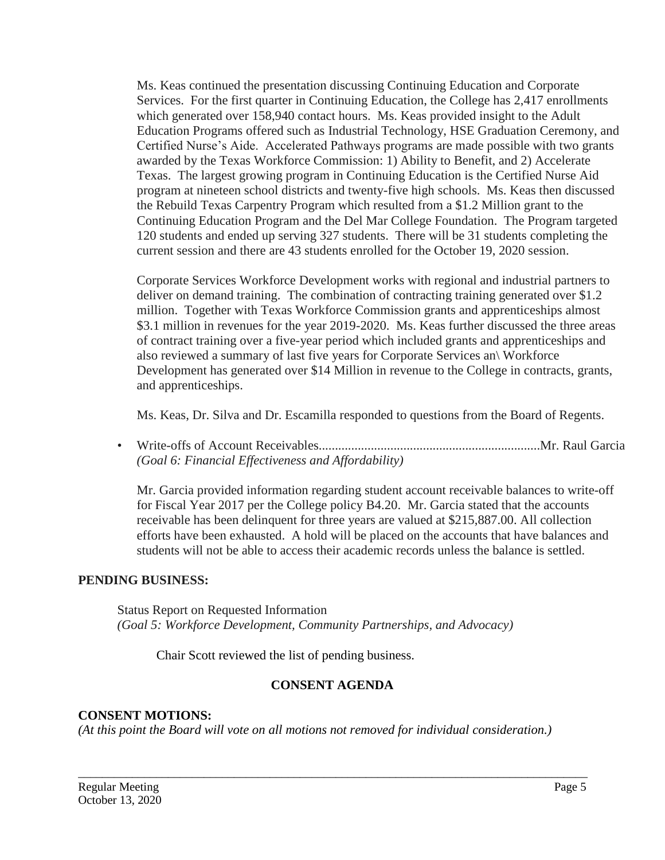Ms. Keas continued the presentation discussing Continuing Education and Corporate Services. For the first quarter in Continuing Education, the College has 2,417 enrollments which generated over 158,940 contact hours. Ms. Keas provided insight to the Adult Education Programs offered such as Industrial Technology, HSE Graduation Ceremony, and Certified Nurse's Aide. Accelerated Pathways programs are made possible with two grants awarded by the Texas Workforce Commission: 1) Ability to Benefit, and 2) Accelerate Texas. The largest growing program in Continuing Education is the Certified Nurse Aid program at nineteen school districts and twenty-five high schools. Ms. Keas then discussed the Rebuild Texas Carpentry Program which resulted from a \$1.2 Million grant to the Continuing Education Program and the Del Mar College Foundation. The Program targeted 120 students and ended up serving 327 students. There will be 31 students completing the current session and there are 43 students enrolled for the October 19, 2020 session.

Corporate Services Workforce Development works with regional and industrial partners to deliver on demand training. The combination of contracting training generated over \$1.2 million. Together with Texas Workforce Commission grants and apprenticeships almost \$3.1 million in revenues for the year 2019-2020. Ms. Keas further discussed the three areas of contract training over a five-year period which included grants and apprenticeships and also reviewed a summary of last five years for Corporate Services an\ Workforce Development has generated over \$14 Million in revenue to the College in contracts, grants, and apprenticeships.

Ms. Keas, Dr. Silva and Dr. Escamilla responded to questions from the Board of Regents.

• Write-offs of Account Receivables....................................................................Mr. Raul Garcia *(Goal 6: Financial Effectiveness and Affordability)*

Mr. Garcia provided information regarding student account receivable balances to write-off for Fiscal Year 2017 per the College policy B4.20. Mr. Garcia stated that the accounts receivable has been delinquent for three years are valued at \$215,887.00. All collection efforts have been exhausted. A hold will be placed on the accounts that have balances and students will not be able to access their academic records unless the balance is settled.

## **PENDING BUSINESS:**

Status Report on Requested Information *(Goal 5: Workforce Development, Community Partnerships, and Advocacy)*

Chair Scott reviewed the list of pending business.

## **CONSENT AGENDA**

\_\_\_\_\_\_\_\_\_\_\_\_\_\_\_\_\_\_\_\_\_\_\_\_\_\_\_\_\_\_\_\_\_\_\_\_\_\_\_\_\_\_\_\_\_\_\_\_\_\_\_\_\_\_\_\_\_\_\_\_\_\_\_\_\_\_\_\_\_\_\_\_\_\_\_\_\_\_\_\_\_\_\_\_\_

#### **CONSENT MOTIONS:**

*(At this point the Board will vote on all motions not removed for individual consideration.)*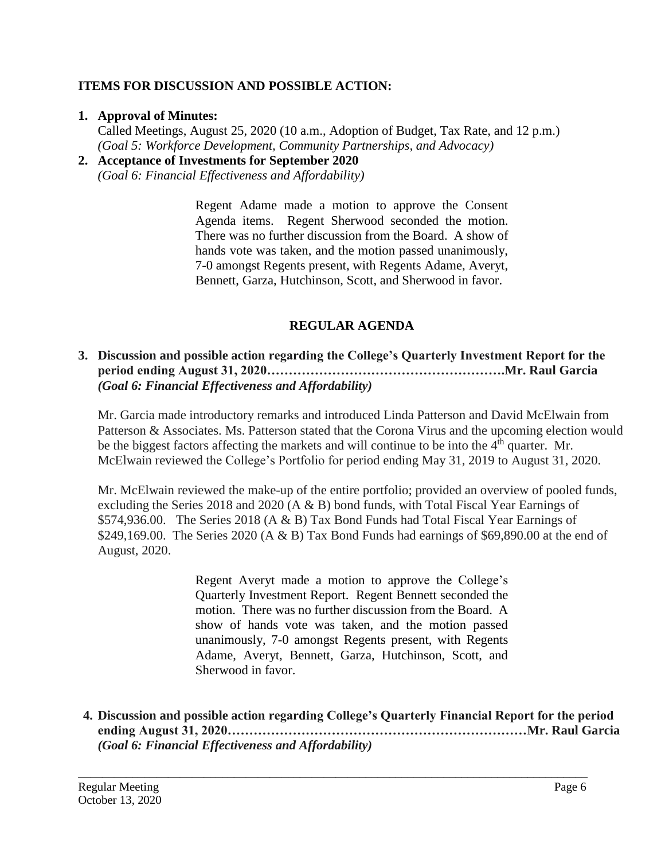## **ITEMS FOR DISCUSSION AND POSSIBLE ACTION:**

### **1. Approval of Minutes:**

Called Meetings, August 25, 2020 (10 a.m., Adoption of Budget, Tax Rate, and 12 p.m.) *(Goal 5: Workforce Development, Community Partnerships, and Advocacy)*

#### **2. Acceptance of Investments for September 2020** *(Goal 6: Financial Effectiveness and Affordability)*

Regent Adame made a motion to approve the Consent Agenda items. Regent Sherwood seconded the motion. There was no further discussion from the Board. A show of hands vote was taken, and the motion passed unanimously, 7-0 amongst Regents present, with Regents Adame, Averyt, Bennett, Garza, Hutchinson, Scott, and Sherwood in favor.

## **REGULAR AGENDA**

## **3. Discussion and possible action regarding the College's Quarterly Investment Report for the period ending August 31, 2020……………………………………………….Mr. Raul Garcia** *(Goal 6: Financial Effectiveness and Affordability)*

Mr. Garcia made introductory remarks and introduced Linda Patterson and David McElwain from Patterson & Associates. Ms. Patterson stated that the Corona Virus and the upcoming election would be the biggest factors affecting the markets and will continue to be into the 4<sup>th</sup> quarter. Mr. McElwain reviewed the College's Portfolio for period ending May 31, 2019 to August 31, 2020.

Mr. McElwain reviewed the make-up of the entire portfolio; provided an overview of pooled funds, excluding the Series 2018 and 2020 (A & B) bond funds, with Total Fiscal Year Earnings of \$574,936.00. The Series 2018 (A & B) Tax Bond Funds had Total Fiscal Year Earnings of \$249,169.00. The Series 2020 (A & B) Tax Bond Funds had earnings of \$69,890.00 at the end of August, 2020.

> Regent Averyt made a motion to approve the College's Quarterly Investment Report. Regent Bennett seconded the motion. There was no further discussion from the Board. A show of hands vote was taken, and the motion passed unanimously, 7-0 amongst Regents present, with Regents Adame, Averyt, Bennett, Garza, Hutchinson, Scott, and Sherwood in favor.

**4. Discussion and possible action regarding College's Quarterly Financial Report for the period ending August 31, 2020……………………………………………………………Mr. Raul Garcia**  *(Goal 6: Financial Effectiveness and Affordability)*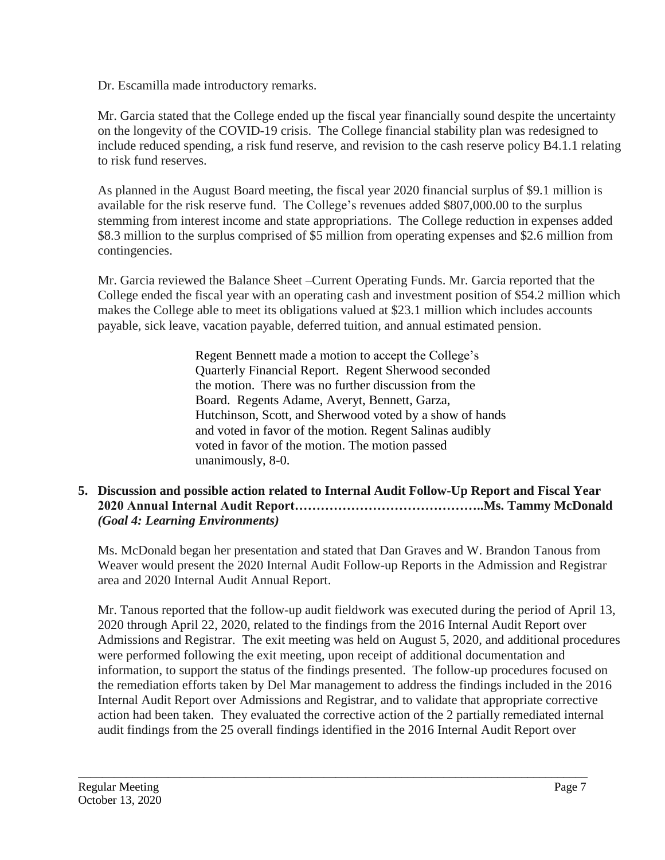Dr. Escamilla made introductory remarks.

Mr. Garcia stated that the College ended up the fiscal year financially sound despite the uncertainty on the longevity of the COVID-19 crisis. The College financial stability plan was redesigned to include reduced spending, a risk fund reserve, and revision to the cash reserve policy B4.1.1 relating to risk fund reserves.

As planned in the August Board meeting, the fiscal year 2020 financial surplus of \$9.1 million is available for the risk reserve fund. The College's revenues added \$807,000.00 to the surplus stemming from interest income and state appropriations. The College reduction in expenses added \$8.3 million to the surplus comprised of \$5 million from operating expenses and \$2.6 million from contingencies.

Mr. Garcia reviewed the Balance Sheet –Current Operating Funds. Mr. Garcia reported that the College ended the fiscal year with an operating cash and investment position of \$54.2 million which makes the College able to meet its obligations valued at \$23.1 million which includes accounts payable, sick leave, vacation payable, deferred tuition, and annual estimated pension.

> Regent Bennett made a motion to accept the College's Quarterly Financial Report. Regent Sherwood seconded the motion. There was no further discussion from the Board. Regents Adame, Averyt, Bennett, Garza, Hutchinson, Scott, and Sherwood voted by a show of hands and voted in favor of the motion. Regent Salinas audibly voted in favor of the motion. The motion passed unanimously, 8-0.

## **5. Discussion and possible action related to Internal Audit Follow-Up Report and Fiscal Year 2020 Annual Internal Audit Report……………………………………..Ms. Tammy McDonald** *(Goal 4: Learning Environments)*

Ms. McDonald began her presentation and stated that Dan Graves and W. Brandon Tanous from Weaver would present the 2020 Internal Audit Follow-up Reports in the Admission and Registrar area and 2020 Internal Audit Annual Report.

Mr. Tanous reported that the follow-up audit fieldwork was executed during the period of April 13, 2020 through April 22, 2020, related to the findings from the 2016 Internal Audit Report over Admissions and Registrar. The exit meeting was held on August 5, 2020, and additional procedures were performed following the exit meeting, upon receipt of additional documentation and information, to support the status of the findings presented. The follow-up procedures focused on the remediation efforts taken by Del Mar management to address the findings included in the 2016 Internal Audit Report over Admissions and Registrar, and to validate that appropriate corrective action had been taken. They evaluated the corrective action of the 2 partially remediated internal audit findings from the 25 overall findings identified in the 2016 Internal Audit Report over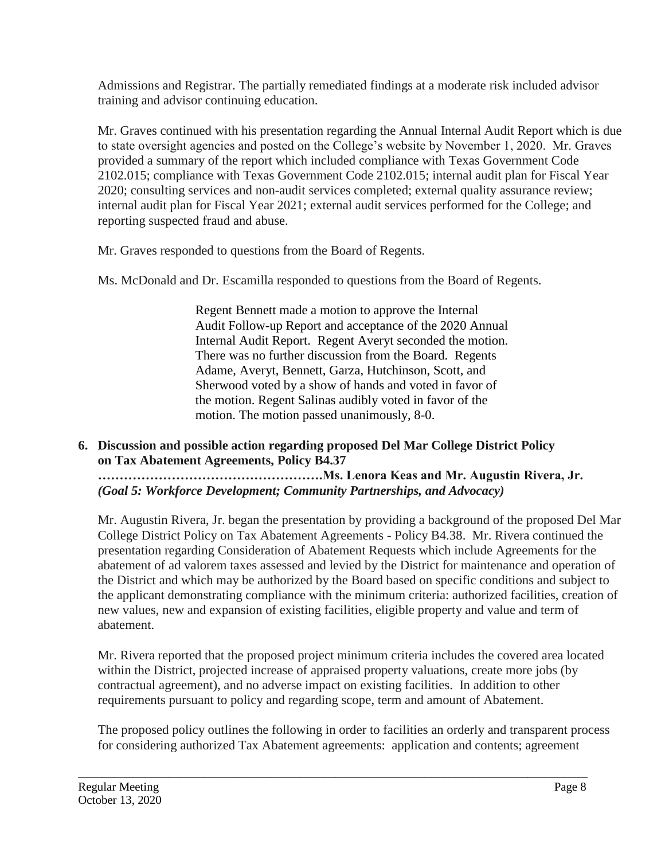Admissions and Registrar. The partially remediated findings at a moderate risk included advisor training and advisor continuing education.

Mr. Graves continued with his presentation regarding the Annual Internal Audit Report which is due to state oversight agencies and posted on the College's website by November 1, 2020. Mr. Graves provided a summary of the report which included compliance with Texas Government Code 2102.015; compliance with Texas Government Code 2102.015; internal audit plan for Fiscal Year 2020; consulting services and non-audit services completed; external quality assurance review; internal audit plan for Fiscal Year 2021; external audit services performed for the College; and reporting suspected fraud and abuse.

Mr. Graves responded to questions from the Board of Regents.

Ms. McDonald and Dr. Escamilla responded to questions from the Board of Regents.

Regent Bennett made a motion to approve the Internal Audit Follow-up Report and acceptance of the 2020 Annual Internal Audit Report. Regent Averyt seconded the motion. There was no further discussion from the Board. Regents Adame, Averyt, Bennett, Garza, Hutchinson, Scott, and Sherwood voted by a show of hands and voted in favor of the motion. Regent Salinas audibly voted in favor of the motion. The motion passed unanimously, 8-0.

## **6. Discussion and possible action regarding proposed Del Mar College District Policy on Tax Abatement Agreements, Policy B4.37**

**…………………………………………….Ms. Lenora Keas and Mr. Augustin Rivera, Jr.** *(Goal 5: Workforce Development; Community Partnerships, and Advocacy)*

Mr. Augustin Rivera, Jr. began the presentation by providing a background of the proposed Del Mar College District Policy on Tax Abatement Agreements - Policy B4.38. Mr. Rivera continued the presentation regarding Consideration of Abatement Requests which include Agreements for the abatement of ad valorem taxes assessed and levied by the District for maintenance and operation of the District and which may be authorized by the Board based on specific conditions and subject to the applicant demonstrating compliance with the minimum criteria: authorized facilities, creation of new values, new and expansion of existing facilities, eligible property and value and term of abatement.

Mr. Rivera reported that the proposed project minimum criteria includes the covered area located within the District, projected increase of appraised property valuations, create more jobs (by contractual agreement), and no adverse impact on existing facilities. In addition to other requirements pursuant to policy and regarding scope, term and amount of Abatement.

The proposed policy outlines the following in order to facilities an orderly and transparent process for considering authorized Tax Abatement agreements: application and contents; agreement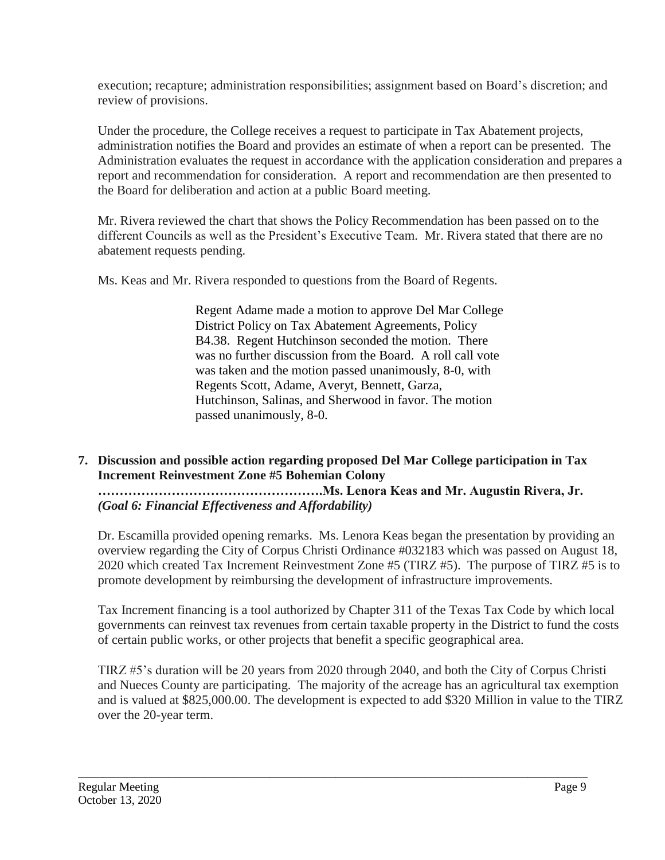execution; recapture; administration responsibilities; assignment based on Board's discretion; and review of provisions.

Under the procedure, the College receives a request to participate in Tax Abatement projects, administration notifies the Board and provides an estimate of when a report can be presented. The Administration evaluates the request in accordance with the application consideration and prepares a report and recommendation for consideration. A report and recommendation are then presented to the Board for deliberation and action at a public Board meeting.

Mr. Rivera reviewed the chart that shows the Policy Recommendation has been passed on to the different Councils as well as the President's Executive Team. Mr. Rivera stated that there are no abatement requests pending.

Ms. Keas and Mr. Rivera responded to questions from the Board of Regents.

Regent Adame made a motion to approve Del Mar College District Policy on Tax Abatement Agreements, Policy B4.38. Regent Hutchinson seconded the motion. There was no further discussion from the Board. A roll call vote was taken and the motion passed unanimously, 8-0, with Regents Scott, Adame, Averyt, Bennett, Garza, Hutchinson, Salinas, and Sherwood in favor. The motion passed unanimously, 8-0.

## **7. Discussion and possible action regarding proposed Del Mar College participation in Tax Increment Reinvestment Zone #5 Bohemian Colony …………………………………………….Ms. Lenora Keas and Mr. Augustin Rivera, Jr.**

*(Goal 6: Financial Effectiveness and Affordability)* 

Dr. Escamilla provided opening remarks. Ms. Lenora Keas began the presentation by providing an overview regarding the City of Corpus Christi Ordinance #032183 which was passed on August 18, 2020 which created Tax Increment Reinvestment Zone #5 (TIRZ #5). The purpose of TIRZ #5 is to promote development by reimbursing the development of infrastructure improvements.

Tax Increment financing is a tool authorized by Chapter 311 of the Texas Tax Code by which local governments can reinvest tax revenues from certain taxable property in the District to fund the costs of certain public works, or other projects that benefit a specific geographical area.

TIRZ #5's duration will be 20 years from 2020 through 2040, and both the City of Corpus Christi and Nueces County are participating. The majority of the acreage has an agricultural tax exemption and is valued at \$825,000.00. The development is expected to add \$320 Million in value to the TIRZ over the 20-year term.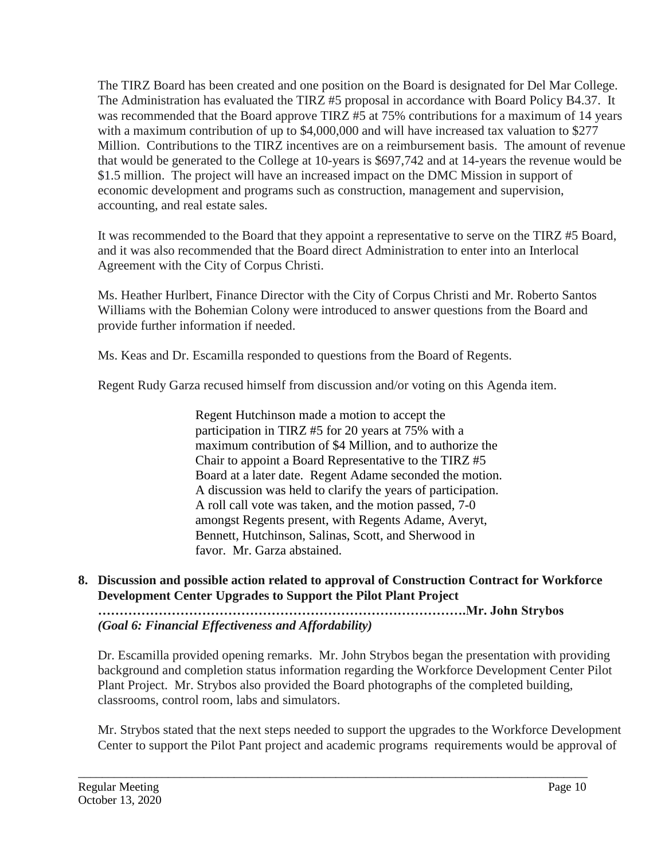The TIRZ Board has been created and one position on the Board is designated for Del Mar College. The Administration has evaluated the TIRZ #5 proposal in accordance with Board Policy B4.37. It was recommended that the Board approve TIRZ #5 at 75% contributions for a maximum of 14 years with a maximum contribution of up to \$4,000,000 and will have increased tax valuation to \$277 Million. Contributions to the TIRZ incentives are on a reimbursement basis. The amount of revenue that would be generated to the College at 10-years is \$697,742 and at 14-years the revenue would be \$1.5 million. The project will have an increased impact on the DMC Mission in support of economic development and programs such as construction, management and supervision, accounting, and real estate sales.

It was recommended to the Board that they appoint a representative to serve on the TIRZ #5 Board, and it was also recommended that the Board direct Administration to enter into an Interlocal Agreement with the City of Corpus Christi.

Ms. Heather Hurlbert, Finance Director with the City of Corpus Christi and Mr. Roberto Santos Williams with the Bohemian Colony were introduced to answer questions from the Board and provide further information if needed.

Ms. Keas and Dr. Escamilla responded to questions from the Board of Regents.

Regent Rudy Garza recused himself from discussion and/or voting on this Agenda item.

Regent Hutchinson made a motion to accept the participation in TIRZ #5 for 20 years at 75% with a maximum contribution of \$4 Million, and to authorize the Chair to appoint a Board Representative to the TIRZ #5 Board at a later date. Regent Adame seconded the motion. A discussion was held to clarify the years of participation. A roll call vote was taken, and the motion passed, 7-0 amongst Regents present, with Regents Adame, Averyt, Bennett, Hutchinson, Salinas, Scott, and Sherwood in favor. Mr. Garza abstained.

## **8. Discussion and possible action related to approval of Construction Contract for Workforce Development Center Upgrades to Support the Pilot Plant Project**

**………………………………………………………………………….Mr. John Strybos** *(Goal 6: Financial Effectiveness and Affordability)* 

\_\_\_\_\_\_\_\_\_\_\_\_\_\_\_\_\_\_\_\_\_\_\_\_\_\_\_\_\_\_\_\_\_\_\_\_\_\_\_\_\_\_\_\_\_\_\_\_\_\_\_\_\_\_\_\_\_\_\_\_\_\_\_\_\_\_\_\_\_\_\_\_\_\_\_\_\_\_\_\_\_\_\_\_\_

Dr. Escamilla provided opening remarks. Mr. John Strybos began the presentation with providing background and completion status information regarding the Workforce Development Center Pilot Plant Project. Mr. Strybos also provided the Board photographs of the completed building, classrooms, control room, labs and simulators.

Mr. Strybos stated that the next steps needed to support the upgrades to the Workforce Development Center to support the Pilot Pant project and academic programs requirements would be approval of